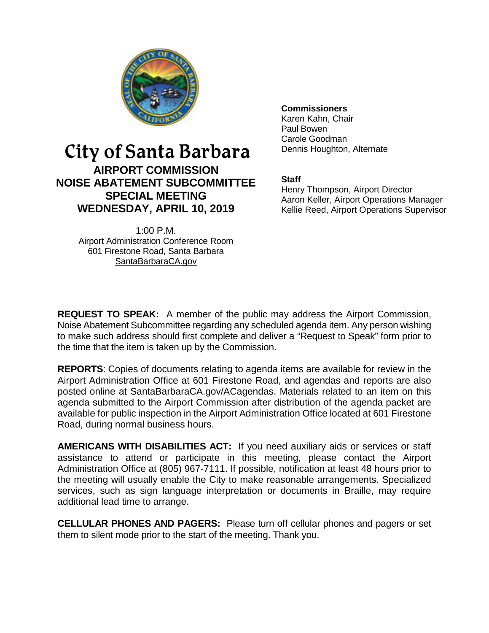

# City of Santa Barbara

**AIRPORT COMMISSION NOISE ABATEMENT SUBCOMMITTEE SPECIAL MEETING WEDNESDAY, APRIL 10, 2019**

> 1:00 P.M. Airport Administration Conference Room 601 Firestone Road, Santa Barbara [SantaBarbaraCA.gov](http://www.santabarbaraca.gov/)

**Commissioners**

Karen Kahn, Chair Paul Bowen Carole Goodman Dennis Houghton, Alternate

## **Staff**

Henry Thompson, Airport Director Aaron Keller, Airport Operations Manager Kellie Reed, Airport Operations Supervisor

**REQUEST TO SPEAK:** A member of the public may address the Airport Commission, Noise Abatement Subcommittee regarding any scheduled agenda item. Any person wishing to make such address should first complete and deliver a "Request to Speak" form prior to the time that the item is taken up by the Commission.

**REPORTS**: Copies of documents relating to agenda items are available for review in the Airport Administration Office at 601 Firestone Road, and agendas and reports are also posted online at [SantaBarbaraCA.gov/ACagendas.](http://www.santabarbaraca.gov/gov/brdcomm/ac/airport/agendas.asp) Materials related to an item on this agenda submitted to the Airport Commission after distribution of the agenda packet are available for public inspection in the Airport Administration Office located at 601 Firestone Road, during normal business hours.

**AMERICANS WITH DISABILITIES ACT:** If you need auxiliary aids or services or staff assistance to attend or participate in this meeting, please contact the Airport Administration Office at (805) 967-7111. If possible, notification at least 48 hours prior to the meeting will usually enable the City to make reasonable arrangements. Specialized services, such as sign language interpretation or documents in Braille, may require additional lead time to arrange.

**CELLULAR PHONES AND PAGERS:** Please turn off cellular phones and pagers or set them to silent mode prior to the start of the meeting. Thank you.